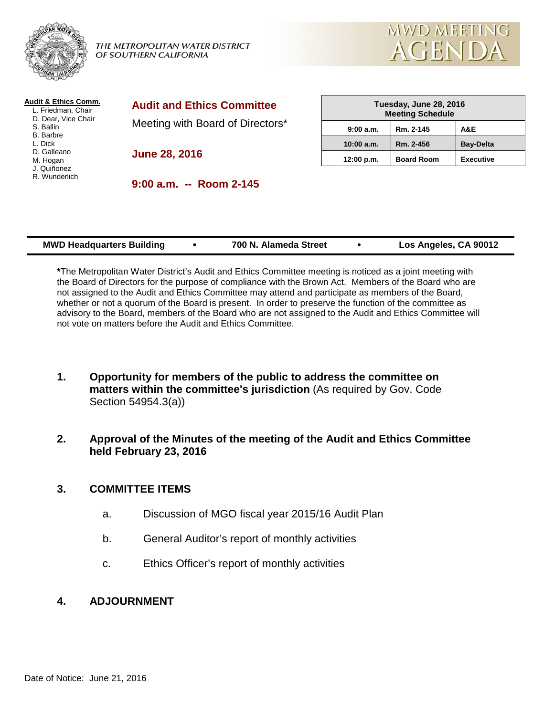

THE METROPOLITAN WATER DISTRICT OF SOUTHERN CALIFORNIA



| Audit & Ethics Comm.<br>L. Friedman, Chair<br>D. Dear, Vice Chair<br>S. Ballin<br><b>B.</b> Barbre<br>L. Dick<br>D. Galleano<br>M. Hogan<br>J. Quiñonez<br>R. Wunderlich | <b>Audit and Ethics Committee</b> | Tuesday, June 28, 2016<br><b>Meeting Schedule</b> |                   |                  |
|--------------------------------------------------------------------------------------------------------------------------------------------------------------------------|-----------------------------------|---------------------------------------------------|-------------------|------------------|
|                                                                                                                                                                          | Meeting with Board of Directors*  | 9:00a.m.                                          | Rm. 2-145         | A&E              |
|                                                                                                                                                                          | <b>June 28, 2016</b>              | 10:00 a.m.                                        | Rm. 2-456         | <b>Bay-Delta</b> |
|                                                                                                                                                                          |                                   | 12:00 p.m.                                        | <b>Board Room</b> | <b>Executive</b> |
|                                                                                                                                                                          | $9:00$ a.m. $-$ Room 2-145        |                                                   |                   |                  |
|                                                                                                                                                                          |                                   |                                                   |                   |                  |

| <b>MWD Headquarters Building</b> |  | 700 N. Alameda Street |  | Los Angeles, CA 90012 |
|----------------------------------|--|-----------------------|--|-----------------------|
|----------------------------------|--|-----------------------|--|-----------------------|

**\***The Metropolitan Water District's Audit and Ethics Committee meeting is noticed as a joint meeting with the Board of Directors for the purpose of compliance with the Brown Act. Members of the Board who are not assigned to the Audit and Ethics Committee may attend and participate as members of the Board, whether or not a quorum of the Board is present. In order to preserve the function of the committee as advisory to the Board, members of the Board who are not assigned to the Audit and Ethics Committee will not vote on matters before the Audit and Ethics Committee.

- **1. Opportunity for members of the public to address the committee on matters within the committee's jurisdiction** (As required by Gov. Code Section 54954.3(a))
- **2. Approval of the Minutes of the meeting of the Audit and Ethics Committee held February 23, 2016**

## **3. COMMITTEE ITEMS**

- a. Discussion of MGO fiscal year 2015/16 Audit Plan
- b. General Auditor's report of monthly activities
- c. Ethics Officer's report of monthly activities

## **4. ADJOURNMENT**